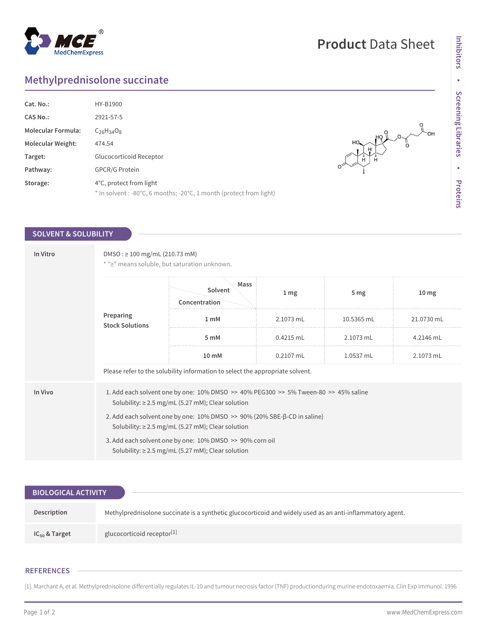# **Methylprednisolone succinate**

| Cat. No.:                 | HY-B1900                                                                                       |
|---------------------------|------------------------------------------------------------------------------------------------|
| <b>CAS No.:</b>           | 2921-57-5                                                                                      |
| <b>Molecular Formula:</b> | $C26H34O8$                                                                                     |
| <b>Molecular Weight:</b>  | 474.54                                                                                         |
| Target:                   | Glucocorticoid Receptor                                                                        |
| Pathway:                  | <b>GPCR/G Protein</b>                                                                          |
| Storage:                  | 4°C, protect from light<br>* In solvent : -80°C, 6 months; -20°C, 1 month (protect from light) |

## **SOLVENT & SOLUBILITY**

| In Vitro | $DMSO: \geq 100$ mg/mL (210.73 mM)<br>* ">" means soluble, but saturation unknown.                                                                        |                                  |                 |                 |                  |  |  |
|----------|-----------------------------------------------------------------------------------------------------------------------------------------------------------|----------------------------------|-----------------|-----------------|------------------|--|--|
|          | Preparing<br><b>Stock Solutions</b>                                                                                                                       | Mass<br>Solvent<br>Concentration | 1 <sub>mg</sub> | 5 <sub>mg</sub> | 10 <sub>mg</sub> |  |  |
|          |                                                                                                                                                           | 1 <sub>m</sub> M                 | 2.1073 mL       | 10.5365 mL      | 21.0730 mL       |  |  |
|          |                                                                                                                                                           | 5 mM                             | $0.4215$ mL     | 2.1073 mL       | 4.2146 mL        |  |  |
|          |                                                                                                                                                           | 10 mM                            | $0.2107$ mL     | 1.0537 mL       | 2.1073 mL        |  |  |
|          | Please refer to the solubility information to select the appropriate solvent.                                                                             |                                  |                 |                 |                  |  |  |
| In Vivo  | 1. Add each solvent one by one: $10\%$ DMSO >> $40\%$ PEG300 >> $5\%$ Tween-80 >> $45\%$ saline<br>Solubility: $\geq$ 2.5 mg/mL (5.27 mM); Clear solution |                                  |                 |                 |                  |  |  |
|          | 2. Add each solvent one by one: $10\%$ DMSO $\gg$ 90% (20% SBE- $\beta$ -CD in saline)<br>Solubility: $\geq$ 2.5 mg/mL (5.27 mM); Clear solution          |                                  |                 |                 |                  |  |  |
|          | 3. Add each solvent one by one: 10% DMSO >> 90% corn oil<br>Solubility: $\geq$ 2.5 mg/mL (5.27 mM); Clear solution                                        |                                  |                 |                 |                  |  |  |

| <b>BIOLOGICAL ACTIVITY</b> |                                                                                                           |  |  |  |
|----------------------------|-----------------------------------------------------------------------------------------------------------|--|--|--|
|                            |                                                                                                           |  |  |  |
| Description                | Methylprednisolone succinate is a synthetic glucocorticoid and widely used as an anti-inflammatory agent. |  |  |  |
| $IC_{50}$ & Target         | glucocorticoid receptor <sup>[1]</sup>                                                                    |  |  |  |

## **REFERENCES**

[1]. Marchant A, et al. Methylprednisolone differentially regulates IL-10 and tumour necrosis factor (TNF) productionduring murine endotoxaemia. Clin Exp Immunol. 1996



 $\frac{10}{10}$